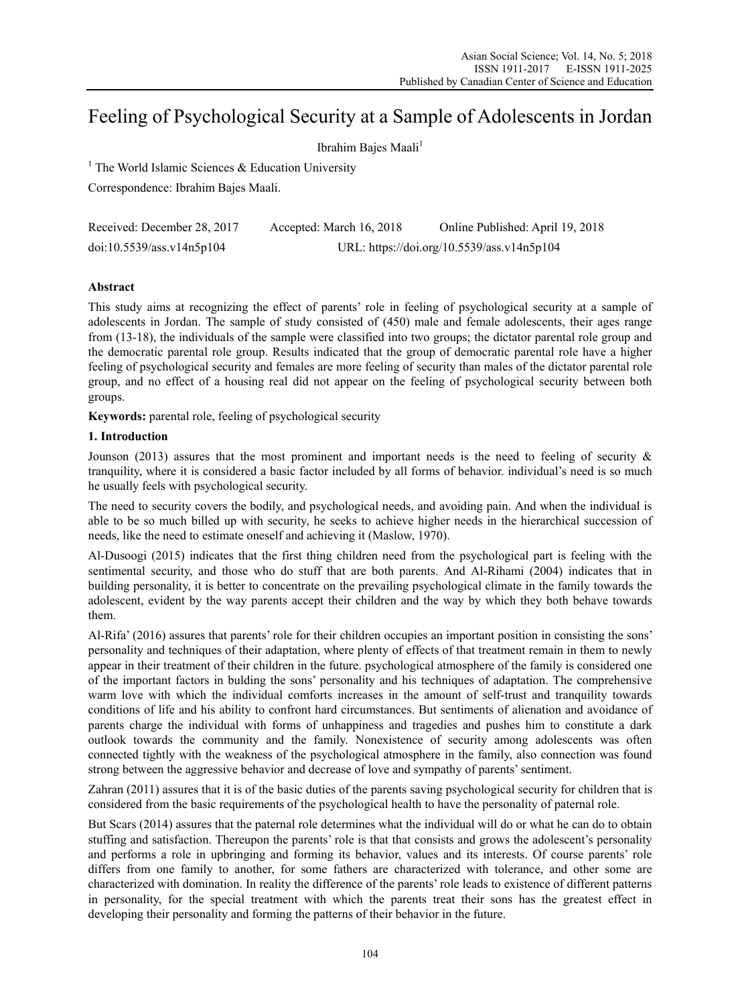# Feeling of Psychological Security at a Sample of Adolescents in Jordan

Ibrahim Bajes Maali<sup>1</sup>

<sup>1</sup> The World Islamic Sciences  $\&$  Education University

Correspondence: Ibrahim Bajes Maali.

| Received: December 28, 2017 | Accepted: March 16, 2018 | Online Published: April 19, 2018           |
|-----------------------------|--------------------------|--------------------------------------------|
| doi:10.5539/ass.v14n5p104   |                          | URL: https://doi.org/10.5539/ass.v14n5p104 |

# **Abstract**

This study aims at recognizing the effect of parents' role in feeling of psychological security at a sample of adolescents in Jordan. The sample of study consisted of (450) male and female adolescents, their ages range from (13-18), the individuals of the sample were classified into two groups; the dictator parental role group and the democratic parental role group. Results indicated that the group of democratic parental role have a higher feeling of psychological security and females are more feeling of security than males of the dictator parental role group, and no effect of a housing real did not appear on the feeling of psychological security between both groups.

**Keywords:** parental role, feeling of psychological security

# **1. Introduction**

Jounson (2013) assures that the most prominent and important needs is the need to feeling of security  $\&$ tranquility, where it is considered a basic factor included by all forms of behavior. individual's need is so much he usually feels with psychological security.

The need to security covers the bodily, and psychological needs, and avoiding pain. And when the individual is able to be so much billed up with security, he seeks to achieve higher needs in the hierarchical succession of needs, like the need to estimate oneself and achieving it (Maslow, 1970).

Al-Dusoogi (2015) indicates that the first thing children need from the psychological part is feeling with the sentimental security, and those who do stuff that are both parents. And Al-Rihami (2004) indicates that in building personality, it is better to concentrate on the prevailing psychological climate in the family towards the adolescent, evident by the way parents accept their children and the way by which they both behave towards them.

Al-Rifa' (2016) assures that parents' role for their children occupies an important position in consisting the sons' personality and techniques of their adaptation, where plenty of effects of that treatment remain in them to newly appear in their treatment of their children in the future. psychological atmosphere of the family is considered one of the important factors in bulding the sons' personality and his techniques of adaptation. The comprehensive warm love with which the individual comforts increases in the amount of self-trust and tranquility towards conditions of life and his ability to confront hard circumstances. But sentiments of alienation and avoidance of parents charge the individual with forms of unhappiness and tragedies and pushes him to constitute a dark outlook towards the community and the family. Nonexistence of security among adolescents was often connected tightly with the weakness of the psychological atmosphere in the family, also connection was found strong between the aggressive behavior and decrease of love and sympathy of parents' sentiment.

Zahran (2011) assures that it is of the basic duties of the parents saving psychological security for children that is considered from the basic requirements of the psychological health to have the personality of paternal role.

But Scars (2014) assures that the paternal role determines what the individual will do or what he can do to obtain stuffing and satisfaction. Thereupon the parents' role is that that consists and grows the adolescent's personality and performs a role in upbringing and forming its behavior, values and its interests. Of course parents' role differs from one family to another, for some fathers are characterized with tolerance, and other some are characterized with domination. In reality the difference of the parents' role leads to existence of different patterns in personality, for the special treatment with which the parents treat their sons has the greatest effect in developing their personality and forming the patterns of their behavior in the future.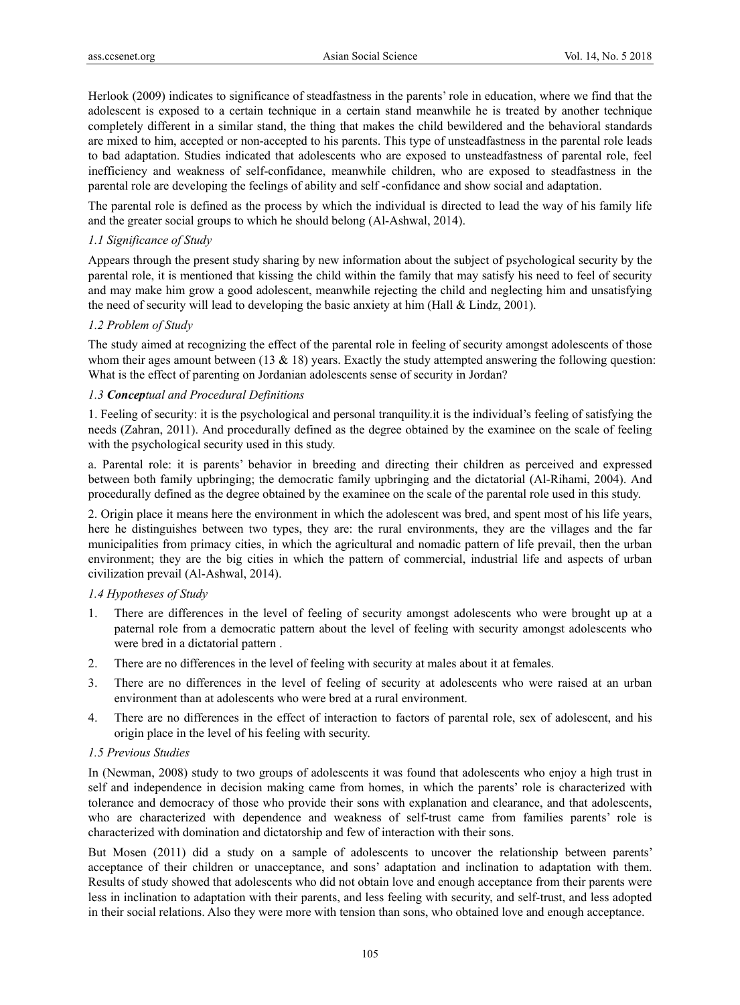Herlook (2009) indicates to significance of steadfastness in the parents' role in education, where we find that the adolescent is exposed to a certain technique in a certain stand meanwhile he is treated by another technique completely different in a similar stand, the thing that makes the child bewildered and the behavioral standards are mixed to him, accepted or non-accepted to his parents. This type of unsteadfastness in the parental role leads to bad adaptation. Studies indicated that adolescents who are exposed to unsteadfastness of parental role, feel inefficiency and weakness of self-confidance, meanwhile children, who are exposed to steadfastness in the parental role are developing the feelings of ability and self -confidance and show social and adaptation.

The parental role is defined as the process by which the individual is directed to lead the way of his family life and the greater social groups to which he should belong (Al-Ashwal, 2014).

# *1.1 Significance of Study*

Appears through the present study sharing by new information about the subject of psychological security by the parental role, it is mentioned that kissing the child within the family that may satisfy his need to feel of security and may make him grow a good adolescent, meanwhile rejecting the child and neglecting him and unsatisfying the need of security will lead to developing the basic anxiety at him (Hall & Lindz, 2001).

# *1.2 Problem of Study*

The study aimed at recognizing the effect of the parental role in feeling of security amongst adolescents of those whom their ages amount between (13  $\&$  18) years. Exactly the study attempted answering the following question: What is the effect of parenting on Jordanian adolescents sense of security in Jordan?

# *1.3 Conceptual and Procedural Definitions*

1. Feeling of security: it is the psychological and personal tranquility.it is the individual's feeling of satisfying the needs (Zahran, 2011). And procedurally defined as the degree obtained by the examinee on the scale of feeling with the psychological security used in this study.

a. Parental role: it is parents' behavior in breeding and directing their children as perceived and expressed between both family upbringing; the democratic family upbringing and the dictatorial (Al-Rihami, 2004). And procedurally defined as the degree obtained by the examinee on the scale of the parental role used in this study.

2. Origin place it means here the environment in which the adolescent was bred, and spent most of his life years, here he distinguishes between two types, they are: the rural environments, they are the villages and the far municipalities from primacy cities, in which the agricultural and nomadic pattern of life prevail, then the urban environment; they are the big cities in which the pattern of commercial, industrial life and aspects of urban civilization prevail (Al-Ashwal, 2014).

# *1.4 Hypotheses of Study*

- 1. There are differences in the level of feeling of security amongst adolescents who were brought up at a paternal role from a democratic pattern about the level of feeling with security amongst adolescents who were bred in a dictatorial pattern .
- 2. There are no differences in the level of feeling with security at males about it at females.
- 3. There are no differences in the level of feeling of security at adolescents who were raised at an urban environment than at adolescents who were bred at a rural environment.
- 4. There are no differences in the effect of interaction to factors of parental role, sex of adolescent, and his origin place in the level of his feeling with security.

# *1.5 Previous Studies*

In (Newman, 2008) study to two groups of adolescents it was found that adolescents who enjoy a high trust in self and independence in decision making came from homes, in which the parents' role is characterized with tolerance and democracy of those who provide their sons with explanation and clearance, and that adolescents, who are characterized with dependence and weakness of self-trust came from families parents' role is characterized with domination and dictatorship and few of interaction with their sons.

But Mosen (2011) did a study on a sample of adolescents to uncover the relationship between parents' acceptance of their children or unacceptance, and sons' adaptation and inclination to adaptation with them. Results of study showed that adolescents who did not obtain love and enough acceptance from their parents were less in inclination to adaptation with their parents, and less feeling with security, and self-trust, and less adopted in their social relations. Also they were more with tension than sons, who obtained love and enough acceptance.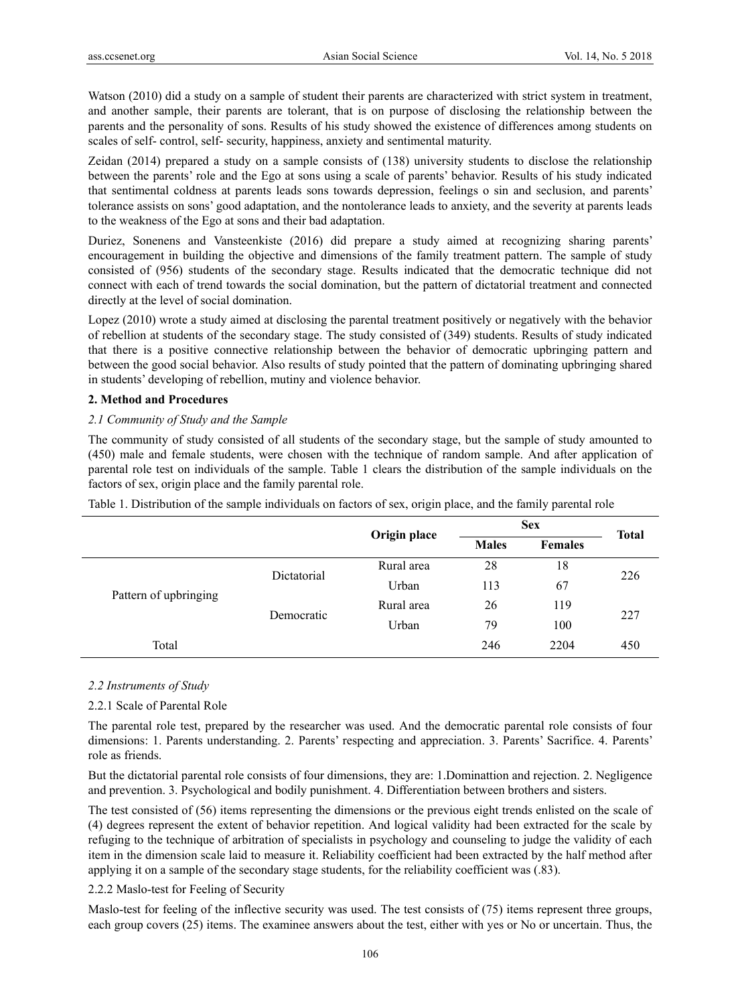Watson (2010) did a study on a sample of student their parents are characterized with strict system in treatment, and another sample, their parents are tolerant, that is on purpose of disclosing the relationship between the parents and the personality of sons. Results of his study showed the existence of differences among students on scales of self- control, self- security, happiness, anxiety and sentimental maturity.

Zeidan (2014) prepared a study on a sample consists of (138) university students to disclose the relationship between the parents' role and the Ego at sons using a scale of parents' behavior. Results of his study indicated that sentimental coldness at parents leads sons towards depression, feelings o sin and seclusion, and parents' tolerance assists on sons' good adaptation, and the nontolerance leads to anxiety, and the severity at parents leads to the weakness of the Ego at sons and their bad adaptation.

Duriez, Sonenens and Vansteenkiste (2016) did prepare a study aimed at recognizing sharing parents' encouragement in building the objective and dimensions of the family treatment pattern. The sample of study consisted of (956) students of the secondary stage. Results indicated that the democratic technique did not connect with each of trend towards the social domination, but the pattern of dictatorial treatment and connected directly at the level of social domination.

Lopez (2010) wrote a study aimed at disclosing the parental treatment positively or negatively with the behavior of rebellion at students of the secondary stage. The study consisted of (349) students. Results of study indicated that there is a positive connective relationship between the behavior of democratic upbringing pattern and between the good social behavior. Also results of study pointed that the pattern of dominating upbringing shared in students' developing of rebellion, mutiny and violence behavior.

# **2. Method and Procedures**

#### *2.1 Community of Study and the Sample*

The community of study consisted of all students of the secondary stage, but the sample of study amounted to (450) male and female students, were chosen with the technique of random sample. And after application of parental role test on individuals of the sample. Table 1 clears the distribution of the sample individuals on the factors of sex, origin place and the family parental role.

| Table 1. Distribution of the sample individuals on factors of sex, origin place, and the family parental role |  |  |
|---------------------------------------------------------------------------------------------------------------|--|--|
|---------------------------------------------------------------------------------------------------------------|--|--|

|                       |             | Origin place | <b>Sex</b>   |                | <b>Total</b> |  |
|-----------------------|-------------|--------------|--------------|----------------|--------------|--|
|                       |             |              | <b>Males</b> | <b>Females</b> |              |  |
| Pattern of upbringing | Dictatorial | Rural area   | 28           | 18             |              |  |
|                       |             | Urban        | 113          | 67             | 226          |  |
|                       |             | Rural area   | 26           | 119            |              |  |
|                       | Democratic  | Urban        | 79           | 100            | 227          |  |
| Total                 |             |              | 246          | 2204           | 450          |  |

#### *2.2 Instruments of Study*

# 2.2.1 Scale of Parental Role

The parental role test, prepared by the researcher was used. And the democratic parental role consists of four dimensions: 1. Parents understanding. 2. Parents' respecting and appreciation. 3. Parents' Sacrifice. 4. Parents' role as friends.

But the dictatorial parental role consists of four dimensions, they are: 1.Dominattion and rejection. 2. Negligence and prevention. 3. Psychological and bodily punishment. 4. Differentiation between brothers and sisters.

The test consisted of (56) items representing the dimensions or the previous eight trends enlisted on the scale of (4) degrees represent the extent of behavior repetition. And logical validity had been extracted for the scale by refuging to the technique of arbitration of specialists in psychology and counseling to judge the validity of each item in the dimension scale laid to measure it. Reliability coefficient had been extracted by the half method after applying it on a sample of the secondary stage students, for the reliability coefficient was (.83).

#### 2.2.2 Maslo-test for Feeling of Security

Maslo-test for feeling of the inflective security was used. The test consists of (75) items represent three groups, each group covers (25) items. The examinee answers about the test, either with yes or No or uncertain. Thus, the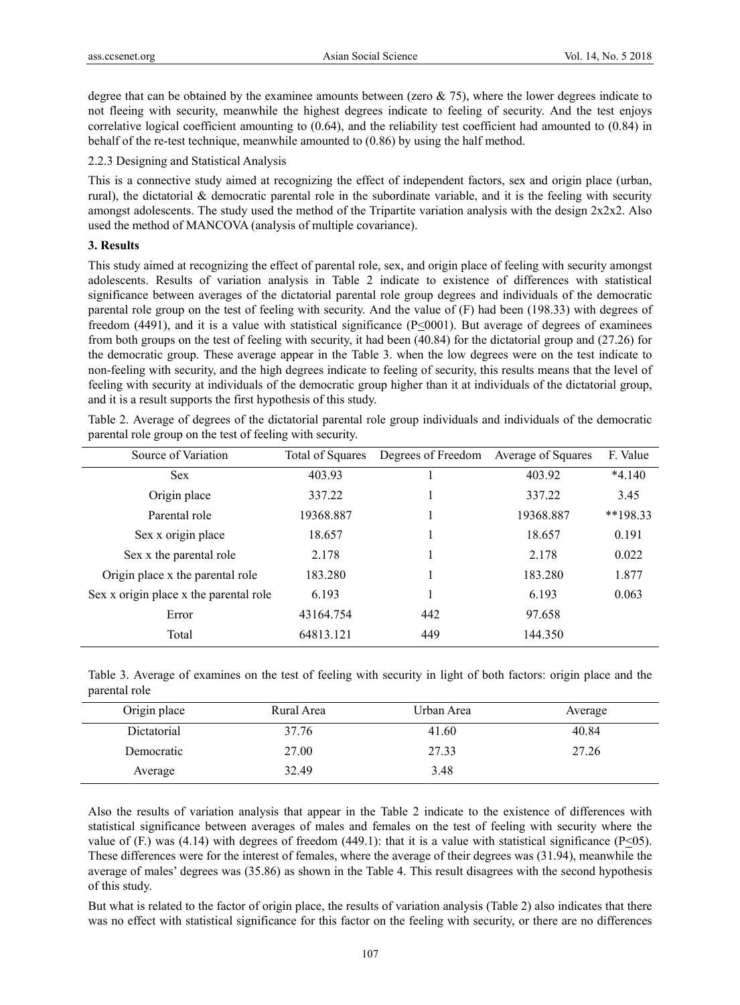degree that can be obtained by the examinee amounts between (zero  $\& 75$ ), where the lower degrees indicate to not fleeing with security, meanwhile the highest degrees indicate to feeling of security. And the test enjoys correlative logical coefficient amounting to (0.64), and the reliability test coefficient had amounted to (0.84) in behalf of the re-test technique, meanwhile amounted to (0.86) by using the half method.

2.2.3 Designing and Statistical Analysis

This is a connective study aimed at recognizing the effect of independent factors, sex and origin place (urban, rural), the dictatorial & democratic parental role in the subordinate variable, and it is the feeling with security amongst adolescents. The study used the method of the Tripartite variation analysis with the design  $2x2x2$ . Also used the method of MANCOVA (analysis of multiple covariance).

# **3. Results**

This study aimed at recognizing the effect of parental role, sex, and origin place of feeling with security amongst adolescents. Results of variation analysis in Table 2 indicate to existence of differences with statistical significance between averages of the dictatorial parental role group degrees and individuals of the democratic parental role group on the test of feeling with security. And the value of (F) had been (198.33) with degrees of freedom (4491), and it is a value with statistical significance  $(P<0001)$ . But average of degrees of examinees from both groups on the test of feeling with security, it had been (40.84) for the dictatorial group and (27.26) for the democratic group. These average appear in the Table 3. when the low degrees were on the test indicate to non-feeling with security, and the high degrees indicate to feeling of security, this results means that the level of feeling with security at individuals of the democratic group higher than it at individuals of the dictatorial group, and it is a result supports the first hypothesis of this study.

Table 2. Average of degrees of the dictatorial parental role group individuals and individuals of the democratic parental role group on the test of feeling with security.

| Source of Variation                    | Total of Squares | Degrees of Freedom | Average of Squares | F. Value   |
|----------------------------------------|------------------|--------------------|--------------------|------------|
| <b>Sex</b>                             | 403.93           |                    | 403.92             | $*4.140$   |
| Origin place                           | 337.22           |                    | 337.22             | 3.45       |
| Parental role                          | 19368.887        |                    | 19368.887          | $**198.33$ |
| Sex x origin place                     | 18.657           |                    | 18.657             | 0.191      |
| Sex x the parental role                | 2.178            |                    | 2.178              | 0.022      |
| Origin place x the parental role       | 183.280          |                    | 183.280            | 1.877      |
| Sex x origin place x the parental role | 6.193            |                    | 6.193              | 0.063      |
| Error                                  | 43164.754        | 442                | 97.658             |            |
| Total                                  | 64813.121        | 449                | 144.350            |            |

Table 3. Average of examines on the test of feeling with security in light of both factors: origin place and the parental role

| Origin place | Rural Area | Urban Area | Average |
|--------------|------------|------------|---------|
| Dictatorial  | 37.76      | 41.60      | 40.84   |
| Democratic   | 27.00      | 27.33      | 27.26   |
| Average      | 32.49      | 3.48       |         |

Also the results of variation analysis that appear in the Table 2 indicate to the existence of differences with statistical significance between averages of males and females on the test of feeling with security where the value of (F.) was (4.14) with degrees of freedom (449.1): that it is a value with statistical significance (P $\leq$ 05). These differences were for the interest of females, where the average of their degrees was (31.94), meanwhile the average of males' degrees was (35.86) as shown in the Table 4. This result disagrees with the second hypothesis of this study.

But what is related to the factor of origin place, the results of variation analysis (Table 2) also indicates that there was no effect with statistical significance for this factor on the feeling with security, or there are no differences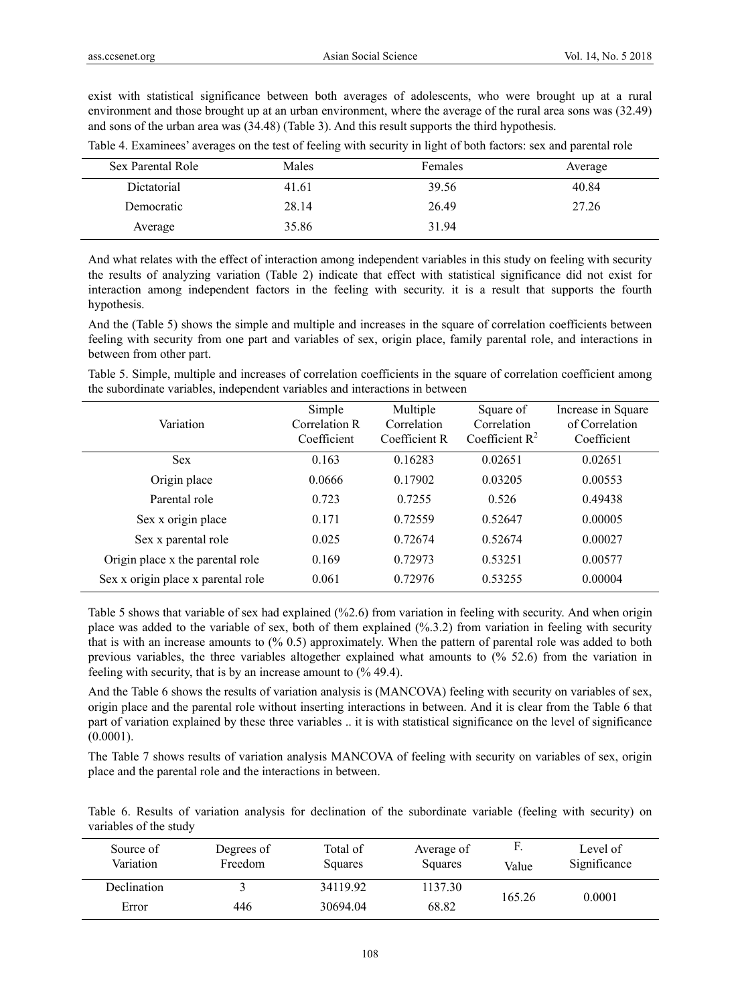exist with statistical significance between both averages of adolescents, who were brought up at a rural environment and those brought up at an urban environment, where the average of the rural area sons was (32.49) and sons of the urban area was (34.48) (Table 3). And this result supports the third hypothesis.

| Sex Parental Role | Males | Females | Average |
|-------------------|-------|---------|---------|
| Dictatorial       | 41.61 | 39.56   | 40.84   |
| Democratic        | 28.14 | 26.49   | 27.26   |
| Average           | 35.86 | 31.94   |         |

Table 4. Examinees' averages on the test of feeling with security in light of both factors: sex and parental role

And what relates with the effect of interaction among independent variables in this study on feeling with security the results of analyzing variation (Table 2) indicate that effect with statistical significance did not exist for interaction among independent factors in the feeling with security. it is a result that supports the fourth hypothesis.

And the (Table 5) shows the simple and multiple and increases in the square of correlation coefficients between feeling with security from one part and variables of sex, origin place, family parental role, and interactions in between from other part.

Table 5. Simple, multiple and increases of correlation coefficients in the square of correlation coefficient among the subordinate variables, independent variables and interactions in between

| Variation                          | Simple<br>Correlation R<br>Coefficient | Multiple<br>Correlation<br>Coefficient R | Square of<br>Correlation<br>Coefficient $R^2$ | Increase in Square<br>of Correlation<br>Coefficient |
|------------------------------------|----------------------------------------|------------------------------------------|-----------------------------------------------|-----------------------------------------------------|
| <b>Sex</b>                         | 0.163                                  | 0.16283                                  | 0.02651                                       | 0.02651                                             |
| Origin place                       | 0.0666                                 | 0.17902                                  | 0.03205                                       | 0.00553                                             |
| Parental role                      | 0.723                                  | 0.7255                                   | 0.526                                         | 0.49438                                             |
| Sex x origin place                 | 0.171                                  | 0.72559                                  | 0.52647                                       | 0.00005                                             |
| Sex x parental role                | 0.025                                  | 0.72674                                  | 0.52674                                       | 0.00027                                             |
| Origin place x the parental role   | 0.169                                  | 0.72973                                  | 0.53251                                       | 0.00577                                             |
| Sex x origin place x parental role | 0.061                                  | 0.72976                                  | 0.53255                                       | 0.00004                                             |

Table 5 shows that variable of sex had explained (%2.6) from variation in feeling with security. And when origin place was added to the variable of sex, both of them explained (%.3.2) from variation in feeling with security that is with an increase amounts to (% 0.5) approximately. When the pattern of parental role was added to both previous variables, the three variables altogether explained what amounts to (% 52.6) from the variation in feeling with security, that is by an increase amount to (% 49.4).

And the Table 6 shows the results of variation analysis is (MANCOVA) feeling with security on variables of sex, origin place and the parental role without inserting interactions in between. And it is clear from the Table 6 that part of variation explained by these three variables .. it is with statistical significance on the level of significance  $(0.0001)$ .

The Table 7 shows results of variation analysis MANCOVA of feeling with security on variables of sex, origin place and the parental role and the interactions in between.

Table 6. Results of variation analysis for declination of the subordinate variable (feeling with security) on variables of the study

| Source of<br>Variation | Degrees of<br>Freedom | Total of<br>Squares | Average of<br><b>Squares</b> | Value  | Level of<br>Significance |
|------------------------|-----------------------|---------------------|------------------------------|--------|--------------------------|
| Declination            |                       | 34119.92            | 1137.30                      | 165.26 | 0.0001                   |
| Error                  | 446                   | 30694.04            | 68.82                        |        |                          |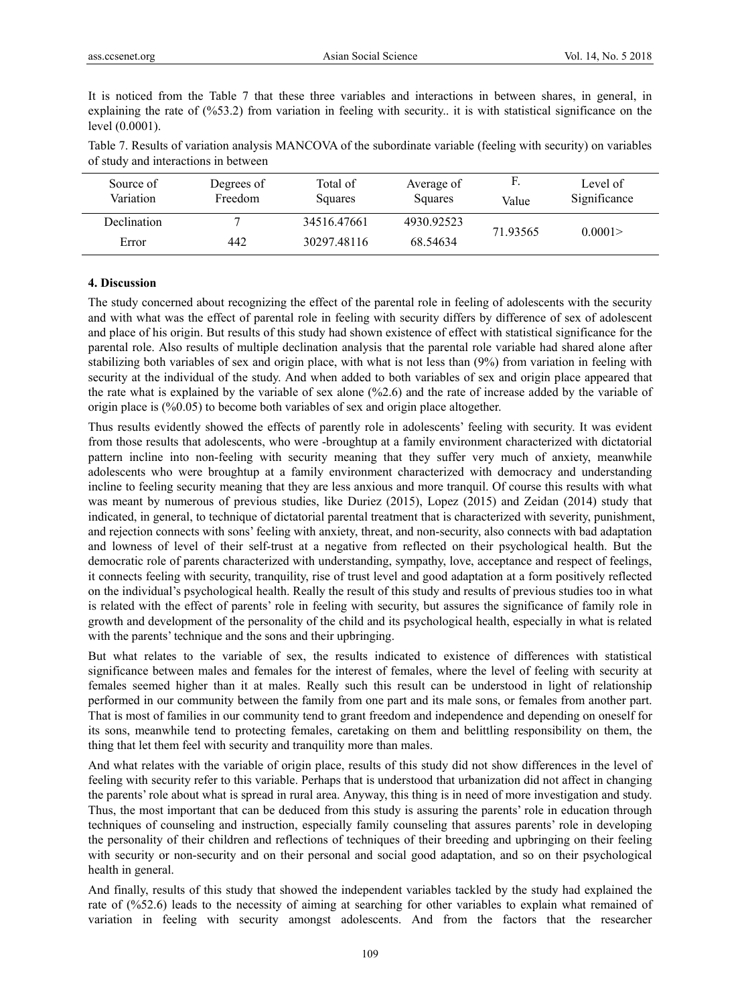It is noticed from the Table 7 that these three variables and interactions in between shares, in general, in explaining the rate of (%53.2) from variation in feeling with security.. it is with statistical significance on the level (0.0001).

| Table 7. Results of variation analysis MANCOVA of the subordinate variable (feeling with security) on variables |
|-----------------------------------------------------------------------------------------------------------------|
| of study and interactions in between                                                                            |

| Source of<br>Variation | Degrees of<br>Freedom | Total of<br>Squares | Average of<br>Squares | F.<br>Value | Level of<br>Significance |  |
|------------------------|-----------------------|---------------------|-----------------------|-------------|--------------------------|--|
| Declination            |                       | 34516.47661         | 4930.92523            | 71.93565    | 0.0001                   |  |
| Error                  | 442                   | 30297.48116         | 68.54634              |             |                          |  |

#### **4. Discussion**

The study concerned about recognizing the effect of the parental role in feeling of adolescents with the security and with what was the effect of parental role in feeling with security differs by difference of sex of adolescent and place of his origin. But results of this study had shown existence of effect with statistical significance for the parental role. Also results of multiple declination analysis that the parental role variable had shared alone after stabilizing both variables of sex and origin place, with what is not less than (9%) from variation in feeling with security at the individual of the study. And when added to both variables of sex and origin place appeared that the rate what is explained by the variable of sex alone (%2.6) and the rate of increase added by the variable of origin place is (%0.05) to become both variables of sex and origin place altogether.

Thus results evidently showed the effects of parently role in adolescents' feeling with security. It was evident from those results that adolescents, who were -broughtup at a family environment characterized with dictatorial pattern incline into non-feeling with security meaning that they suffer very much of anxiety, meanwhile adolescents who were broughtup at a family environment characterized with democracy and understanding incline to feeling security meaning that they are less anxious and more tranquil. Of course this results with what was meant by numerous of previous studies, like Duriez (2015), Lopez (2015) and Zeidan (2014) study that indicated, in general, to technique of dictatorial parental treatment that is characterized with severity, punishment, and rejection connects with sons' feeling with anxiety, threat, and non-security, also connects with bad adaptation and lowness of level of their self-trust at a negative from reflected on their psychological health. But the democratic role of parents characterized with understanding, sympathy, love, acceptance and respect of feelings, it connects feeling with security, tranquility, rise of trust level and good adaptation at a form positively reflected on the individual's psychological health. Really the result of this study and results of previous studies too in what is related with the effect of parents' role in feeling with security, but assures the significance of family role in growth and development of the personality of the child and its psychological health, especially in what is related with the parents' technique and the sons and their upbringing.

But what relates to the variable of sex, the results indicated to existence of differences with statistical significance between males and females for the interest of females, where the level of feeling with security at females seemed higher than it at males. Really such this result can be understood in light of relationship performed in our community between the family from one part and its male sons, or females from another part. That is most of families in our community tend to grant freedom and independence and depending on oneself for its sons, meanwhile tend to protecting females, caretaking on them and belittling responsibility on them, the thing that let them feel with security and tranquility more than males.

And what relates with the variable of origin place, results of this study did not show differences in the level of feeling with security refer to this variable. Perhaps that is understood that urbanization did not affect in changing the parents' role about what is spread in rural area. Anyway, this thing is in need of more investigation and study. Thus, the most important that can be deduced from this study is assuring the parents' role in education through techniques of counseling and instruction, especially family counseling that assures parents' role in developing the personality of their children and reflections of techniques of their breeding and upbringing on their feeling with security or non-security and on their personal and social good adaptation, and so on their psychological health in general.

And finally, results of this study that showed the independent variables tackled by the study had explained the rate of (%52.6) leads to the necessity of aiming at searching for other variables to explain what remained of variation in feeling with security amongst adolescents. And from the factors that the researcher